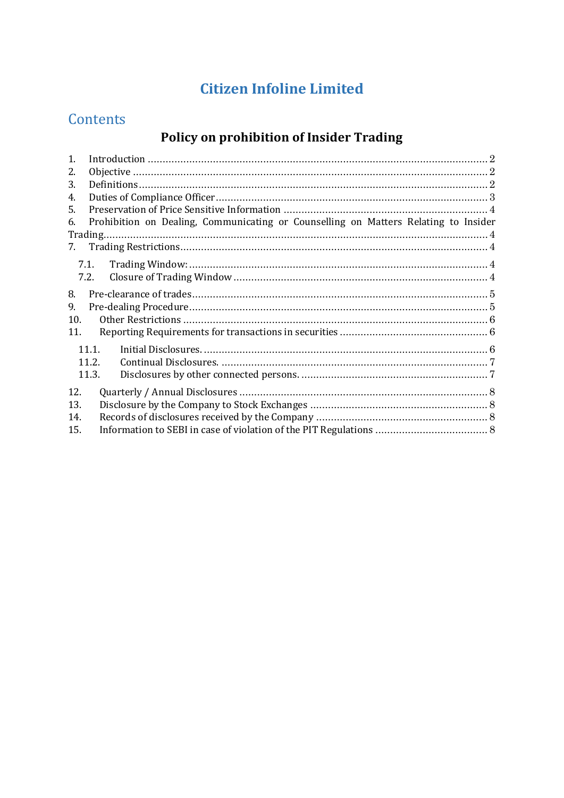## **Citizen Infoline Limited**

## Contents

## **Policy on prohibition of Insider Trading**

| $\mathbf{1}$ . |                                                                                     |  |
|----------------|-------------------------------------------------------------------------------------|--|
| 2.             |                                                                                     |  |
| 3.             |                                                                                     |  |
| 4.             |                                                                                     |  |
| 5.             |                                                                                     |  |
| 6.             | Prohibition on Dealing, Communicating or Counselling on Matters Relating to Insider |  |
|                | Trading.                                                                            |  |
| 7.             |                                                                                     |  |
|                | 7.1.                                                                                |  |
|                | 7.2.                                                                                |  |
|                |                                                                                     |  |
| 8.             |                                                                                     |  |
| 9.             |                                                                                     |  |
| 10.            |                                                                                     |  |
| 11.            |                                                                                     |  |
|                | 11.1.                                                                               |  |
|                | 11.2.                                                                               |  |
|                | 11.3.                                                                               |  |
| 12.            |                                                                                     |  |
| 13.            |                                                                                     |  |
| 14.            |                                                                                     |  |
| 15.            |                                                                                     |  |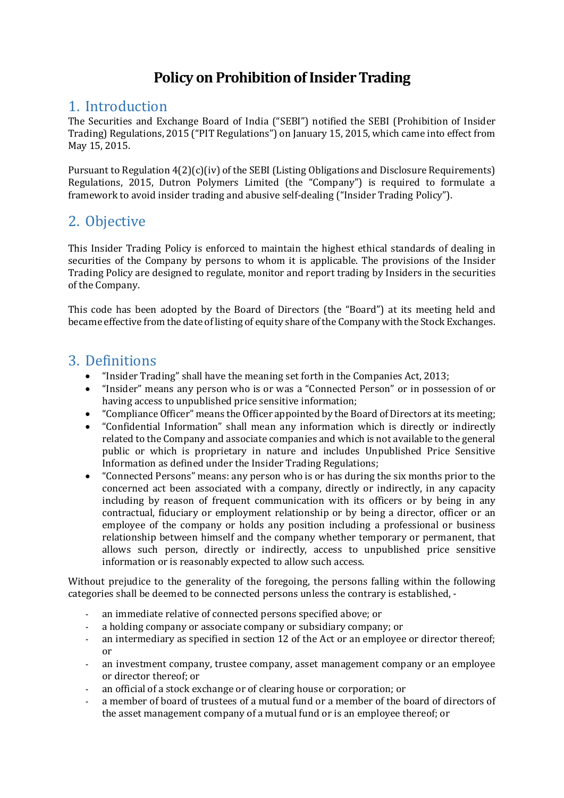## **Policy on Prohibition of Insider Trading**

## <span id="page-1-0"></span>1. Introduction

The Securities and Exchange Board of India ("SEBI") notified the SEBI (Prohibition of Insider Trading) Regulations, 2015 ("PIT Regulations") on January 15, 2015, which came into effect from May 15, 2015.

Pursuant to Regulation 4(2)(c)(iv) of the SEBI (Listing Obligations and Disclosure Requirements) Regulations, 2015, Dutron Polymers Limited (the "Company") is required to formulate a framework to avoid insider trading and abusive self-dealing ("Insider Trading Policy").

## <span id="page-1-1"></span>2. Objective

This Insider Trading Policy is enforced to maintain the highest ethical standards of dealing in securities of the Company by persons to whom it is applicable. The provisions of the Insider Trading Policy are designed to regulate, monitor and report trading by Insiders in the securities of the Company.

This code has been adopted by the Board of Directors (the "Board") at its meeting held and became effective from the date of listing of equity share of the Company with the Stock Exchanges.

### <span id="page-1-2"></span>3. Definitions

- "Insider Trading" shall have the meaning set forth in the Companies Act, 2013;
- "Insider" means any person who is or was a "Connected Person" or in possession of or having access to unpublished price sensitive information;
- 
- "Compliance Officer" means the Officer appointed by the Board of Directors at its meeting;<br>• "Confidential Information" shall mean any information which is directly or indirectly • "Confidential Information" shall mean any information which is directly or indirectly related to the Company and associate companies and which is not available to the general public or which is proprietary in nature and includes Unpublished Price Sensitive Information as defined under the Insider Trading Regulations;
- "Connected Persons" means: any person who is or has during the six months prior to the concerned act been associated with a company, directly or indirectly, in any capacity including by reason of frequent communication with its officers or by being in any contractual, fiduciary or employment relationship or by being a director, officer or an employee of the company or holds any position including a professional or business relationship between himself and the company whether temporary or permanent, that allows such person, directly or indirectly, access to unpublished price sensitive information or is reasonably expected to allow such access.

Without prejudice to the generality of the foregoing, the persons falling within the following categories shall be deemed to be connected persons unless the contrary is established, -

- an immediate relative of connected persons specified above; or
- a holding company or associate company or subsidiary company; or
- an intermediary as specified in section 12 of the Act or an employee or director thereof; or
- an investment company, trustee company, asset management company or an employee or director thereof; or
- an official of a stock exchange or of clearing house or corporation; or
- a member of board of trustees of a mutual fund or a member of the board of directors of the asset management company of a mutual fund or is an employee thereof; or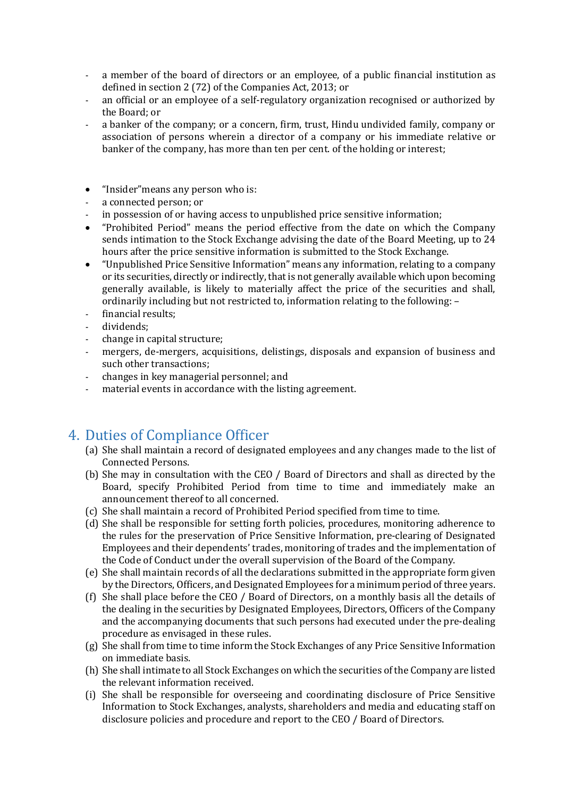- a member of the board of directors or an employee, of a public financial institution as defined in section 2 (72) of the Companies Act, 2013; or
- an official or an employee of a self-regulatory organization recognised or authorized by the Board; or
- a banker of the company; or a concern, firm, trust, Hindu undivided family, company or association of persons wherein a director of a company or his immediate relative or banker of the company, has more than ten per cent. of the holding or interest;

#### • "Insider"means any person who is:

- a connected person; or
- in possession of or having access to unpublished price sensitive information;
- "Prohibited Period" means the period effective from the date on which the Company sends intimation to the Stock Exchange advising the date of the Board Meeting, up to 24 hours after the price sensitive information is submitted to the Stock Exchange.
- "Unpublished Price Sensitive Information" means any information, relating to a company or its securities, directly or indirectly, that is not generally available which upon becoming generally available, is likely to materially affect the price of the securities and shall, ordinarily including but not restricted to, information relating to the following: –
- financial results;<br>- dividends:
- dividends;
- change in capital structure;
- mergers, de-mergers, acquisitions, delistings, disposals and expansion of business and such other transactions;
- changes in key managerial personnel; and
- material events in accordance with the listing agreement.

### <span id="page-2-0"></span>4. Duties of Compliance Officer

- (a) She shall maintain a record of designated employees and any changes made to the list of Connected Persons.
- (b) She may in consultation with the CEO / Board of Directors and shall as directed by the Board, specify Prohibited Period from time to time and immediately make an announcement thereof to all concerned.
- (c) She shall maintain a record of Prohibited Period specified from time to time.
- (d) She shall be responsible for setting forth policies, procedures, monitoring adherence to the rules for the preservation of Price Sensitive Information, pre-clearing of Designated Employees and their dependents' trades, monitoring of trades and the implementation of the Code of Conduct under the overall supervision of the Board of the Company.
- (e) She shall maintain records of all the declarations submitted in the appropriate form given by the Directors, Officers, and Designated Employees for a minimum period of three years.
- (f) She shall place before the CEO / Board of Directors, on a monthly basis all the details of the dealing in the securities by Designated Employees, Directors, Officers of the Company and the accompanying documents that such persons had executed under the pre-dealing procedure as envisaged in these rules.
- (g) She shall from time to time inform the Stock Exchanges of any Price Sensitive Information on immediate basis.
- (h) She shall intimate to all Stock Exchanges on which the securities of the Company are listed the relevant information received.
- (i) She shall be responsible for overseeing and coordinating disclosure of Price Sensitive Information to Stock Exchanges, analysts, shareholders and media and educating staff on disclosure policies and procedure and report to the CEO / Board of Directors.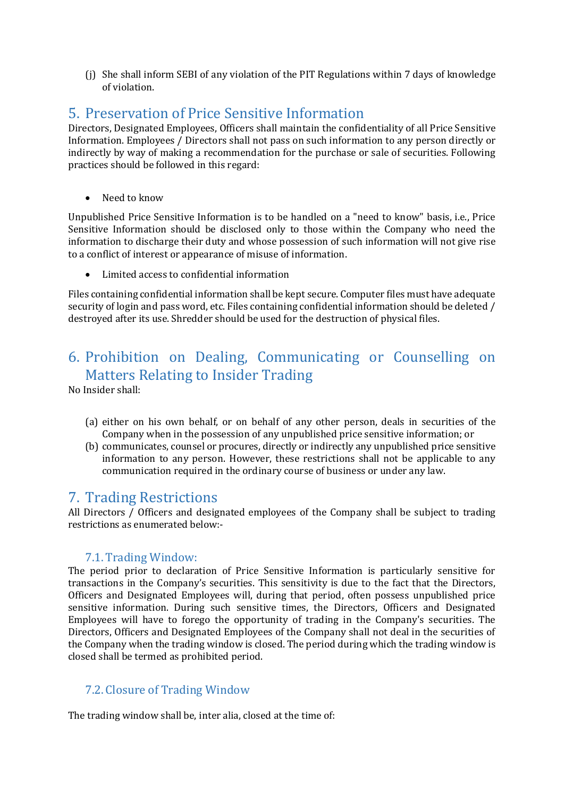(j) She shall inform SEBI of any violation of the PIT Regulations within 7 days of knowledge of violation.

## <span id="page-3-0"></span>5. Preservation of Price Sensitive Information

Directors, Designated Employees, Officers shall maintain the confidentiality of all Price Sensitive Information. Employees / Directors shall not pass on such information to any person directly or indirectly by way of making a recommendation for the purchase or sale of securities. Following practices should be followed in this regard:

• Need to know

Unpublished Price Sensitive Information is to be handled on a "need to know" basis, i.e., Price Sensitive Information should be disclosed only to those within the Company who need the information to discharge their duty and whose possession of such information will not give rise to a conflict of interest or appearance of misuse of information.

• Limited access to confidential information

Files containing confidential information shall be kept secure. Computer files must have adequate security of login and pass word, etc. Files containing confidential information should be deleted / destroyed after its use. Shredder should be used for the destruction of physical files.

## <span id="page-3-1"></span>6. Prohibition on Dealing, Communicating or Counselling on Matters Relating to Insider Trading

No Insider shall:

- (a) either on his own behalf, or on behalf of any other person, deals in securities of the Company when in the possession of any unpublished price sensitive information; or
- (b) communicates, counsel or procures, directly or indirectly any unpublished price sensitive information to any person. However, these restrictions shall not be applicable to any communication required in the ordinary course of business or under any law.

### <span id="page-3-2"></span>7. Trading Restrictions

All Directors / Officers and designated employees of the Company shall be subject to trading restrictions as enumerated below:-

#### 7.1.Trading Window:

<span id="page-3-3"></span>The period prior to declaration of Price Sensitive Information is particularly sensitive for transactions in the Company's securities. This sensitivity is due to the fact that the Directors, Officers and Designated Employees will, during that period, often possess unpublished price sensitive information. During such sensitive times, the Directors, Officers and Designated Employees will have to forego the opportunity of trading in the Company's securities. The Directors, Officers and Designated Employees of the Company shall not deal in the securities of the Company when the trading window is closed. The period during which the trading window is closed shall be termed as prohibited period.

#### <span id="page-3-4"></span>7.2. Closure of Trading Window

The trading window shall be, inter alia, closed at the time of: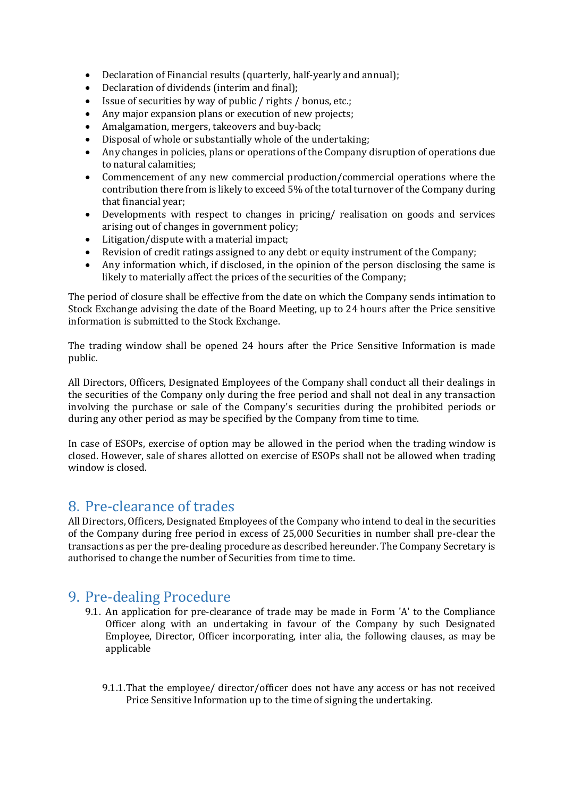- Declaration of Financial results (quarterly, half-yearly and annual);<br>• Declaration of dividends (interim and final):
- Declaration of dividends (interim and final);
- Issue of securities by way of public / rights / bonus, etc.;
- Any major expansion plans or execution of new projects;
- Amalgamation, mergers, takeovers and buy-back;
- Disposal of whole or substantially whole of the undertaking;<br>• Any changes in policies plans or operations of the Company of
- Any changes in policies, plans or operations of the Company disruption of operations due to natural calamities;
- Commencement of any new commercial production/commercial operations where the contribution there from is likely to exceed 5% of the total turnover of the Company during that financial year;
- Developments with respect to changes in pricing/ realisation on goods and services arising out of changes in government policy;
- Litigation/dispute with a material impact;
- Revision of credit ratings assigned to any debt or equity instrument of the Company;
- Any information which, if disclosed, in the opinion of the person disclosing the same is likely to materially affect the prices of the securities of the Company;

The period of closure shall be effective from the date on which the Company sends intimation to Stock Exchange advising the date of the Board Meeting, up to 24 hours after the Price sensitive information is submitted to the Stock Exchange.

The trading window shall be opened 24 hours after the Price Sensitive Information is made public.

All Directors, Officers, Designated Employees of the Company shall conduct all their dealings in the securities of the Company only during the free period and shall not deal in any transaction involving the purchase or sale of the Company's securities during the prohibited periods or during any other period as may be specified by the Company from time to time.

In case of ESOPs, exercise of option may be allowed in the period when the trading window is closed. However, sale of shares allotted on exercise of ESOPs shall not be allowed when trading window is closed.

## <span id="page-4-0"></span>8. Pre-clearance of trades

All Directors, Officers, Designated Employees of the Company who intend to deal in the securities of the Company during free period in excess of 25,000 Securities in number shall pre-clear the transactions as per the pre-dealing procedure as described hereunder. The Company Secretary is authorised to change the number of Securities from time to time.

## <span id="page-4-1"></span>9. Pre-dealing Procedure

- 9.1. An application for pre-clearance of trade may be made in Form 'A' to the Compliance Officer along with an undertaking in favour of the Company by such Designated Employee, Director, Officer incorporating, inter alia, the following clauses, as may be applicable
	- 9.1.1.That the employee/ director/officer does not have any access or has not received Price Sensitive Information up to the time of signing the undertaking.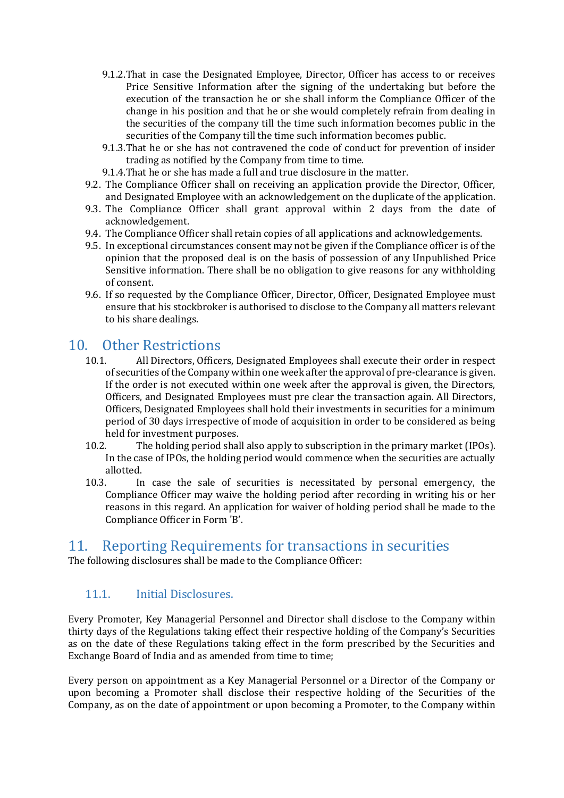- 9.1.2.That in case the Designated Employee, Director, Officer has access to or receives Price Sensitive Information after the signing of the undertaking but before the execution of the transaction he or she shall inform the Compliance Officer of the change in his position and that he or she would completely refrain from dealing in the securities of the company till the time such information becomes public in the securities of the Company till the time such information becomes public.
- 9.1.3.That he or she has not contravened the code of conduct for prevention of insider trading as notified by the Company from time to time.
- 9.1.4.That he or she has made a full and true disclosure in the matter.
- 9.2. The Compliance Officer shall on receiving an application provide the Director, Officer, and Designated Employee with an acknowledgement on the duplicate of the application.
- 9.3. The Compliance Officer shall grant approval within 2 days from the date of acknowledgement.
- 9.4. The Compliance Officer shall retain copies of all applications and acknowledgements.
- 9.5. In exceptional circumstances consent may not be given if the Compliance officer is of the opinion that the proposed deal is on the basis of possession of any Unpublished Price Sensitive information. There shall be no obligation to give reasons for any withholding of consent.
- 9.6. If so requested by the Compliance Officer, Director, Officer, Designated Employee must ensure that his stockbroker is authorised to disclose to the Company all matters relevant to his share dealings.

# <span id="page-5-0"></span>10. Other Restrictions<br>10.1. All Directors, Office

- 10.1. All Directors, Officers, Designated Employees shall execute their order in respect of securities of the Company within one week after the approval of pre-clearance is given. If the order is not executed within one week after the approval is given, the Directors, Officers, and Designated Employees must pre clear the transaction again. All Directors, Officers, Designated Employees shall hold their investments in securities for a minimum period of 30 days irrespective of mode of acquisition in order to be considered as being held for investment purposes.<br>10.2. The holding period sha
- The holding period shall also apply to subscription in the primary market (IPOs). In the case of IPOs, the holding period would commence when the securities are actually allotted.<br>10.3. In
- 10.3. In case the sale of securities is necessitated by personal emergency, the Compliance Officer may waive the holding period after recording in writing his or her reasons in this regard. An application for waiver of holding period shall be made to the Compliance Officer in Form 'B'.

#### <span id="page-5-1"></span>11. Reporting Requirements for transactions in securities

The following disclosures shall be made to the Compliance Officer:

#### <span id="page-5-2"></span>11.1. Initial Disclosures.

Every Promoter, Key Managerial Personnel and Director shall disclose to the Company within thirty days of the Regulations taking effect their respective holding of the Company's Securities as on the date of these Regulations taking effect in the form prescribed by the Securities and Exchange Board of India and as amended from time to time;

Every person on appointment as a Key Managerial Personnel or a Director of the Company or upon becoming a Promoter shall disclose their respective holding of the Securities of the Company, as on the date of appointment or upon becoming a Promoter, to the Company within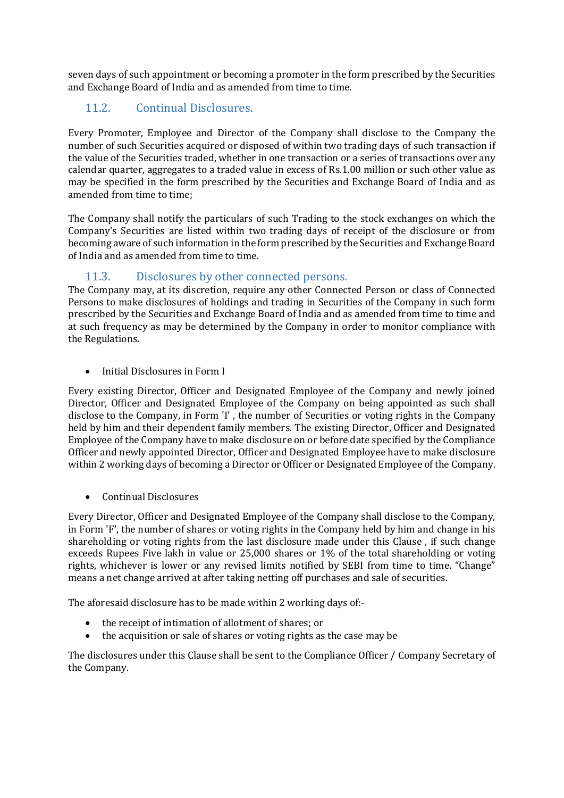seven days of such appointment or becoming a promoter in the form prescribed by the Securities and Exchange Board of India and as amended from time to time.

#### <span id="page-6-0"></span>11.2. Continual Disclosures.

Every Promoter, Employee and Director of the Company shall disclose to the Company the number of such Securities acquired or disposed of within two trading days of such transaction if the value of the Securities traded, whether in one transaction or a series of transactions over any calendar quarter, aggregates to a traded value in excess of Rs.1.00 million or such other value as may be specified in the form prescribed by the Securities and Exchange Board of India and as amended from time to time;

The Company shall notify the particulars of such Trading to the stock exchanges on which the Company's Securities are listed within two trading days of receipt of the disclosure or from becoming aware of such information in the form prescribed by the Securities and Exchange Board of India and as amended from time to time.

#### 11.3. Disclosures by other connected persons.

<span id="page-6-1"></span>The Company may, at its discretion, require any other Connected Person or class of Connected Persons to make disclosures of holdings and trading in Securities of the Company in such form prescribed by the Securities and Exchange Board of India and as amended from time to time and at such frequency as may be determined by the Company in order to monitor compliance with the Regulations.

• Initial Disclosures in Form I

Every existing Director, Officer and Designated Employee of the Company and newly joined Director, Officer and Designated Employee of the Company on being appointed as such shall disclose to the Company, in Form 'I' , the number of Securities or voting rights in the Company held by him and their dependent family members. The existing Director, Officer and Designated Employee of the Company have to make disclosure on or before date specified by the Compliance Officer and newly appointed Director, Officer and Designated Employee have to make disclosure within 2 working days of becoming a Director or Officer or Designated Employee of the Company.

• Continual Disclosures

Every Director, Officer and Designated Employee of the Company shall disclose to the Company, in Form 'F', the number of shares or voting rights in the Company held by him and change in his shareholding or voting rights from the last disclosure made under this Clause , if such change exceeds Rupees Five lakh in value or 25,000 shares or 1% of the total shareholding or voting rights, whichever is lower or any revised limits notified by SEBI from time to time. "Change" means a net change arrived at after taking netting off purchases and sale of securities.

The aforesaid disclosure has to be made within 2 working days of:-

- the receipt of intimation of allotment of shares; or
- the acquisition or sale of shares or voting rights as the case may be

The disclosures under this Clause shall be sent to the Compliance Officer / Company Secretary of the Company.